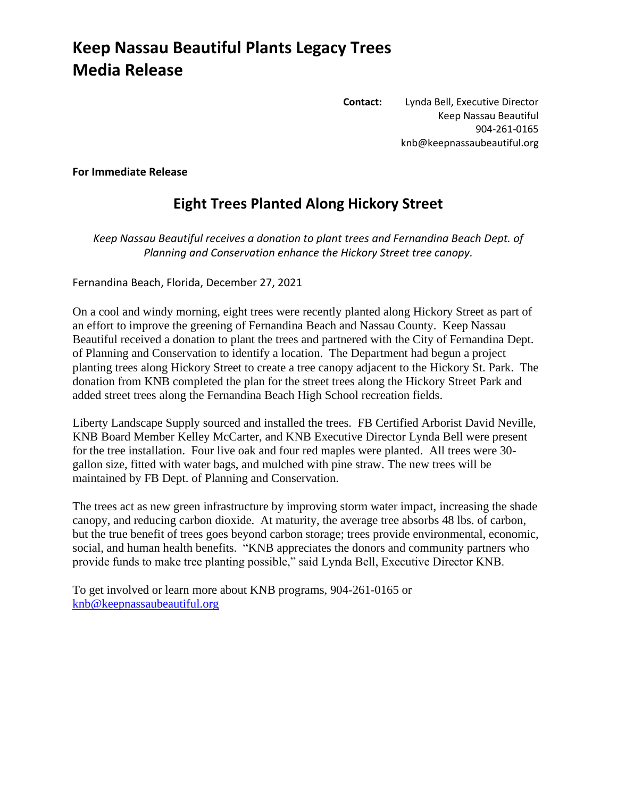## **Keep Nassau Beautiful Plants Legacy Trees Media Release**

**Contact:** Lynda Bell, Executive Director Keep Nassau Beautiful 904-261-0165 knb@keepnassaubeautiful.org

**For Immediate Release**

## **Eight Trees Planted Along Hickory Street**

*Keep Nassau Beautiful receives a donation to plant trees and Fernandina Beach Dept. of Planning and Conservation enhance the Hickory Street tree canopy.*

Fernandina Beach, Florida, December 27, 2021

On a cool and windy morning, eight trees were recently planted along Hickory Street as part of an effort to improve the greening of Fernandina Beach and Nassau County. Keep Nassau Beautiful received a donation to plant the trees and partnered with the City of Fernandina Dept. of Planning and Conservation to identify a location. The Department had begun a project planting trees along Hickory Street to create a tree canopy adjacent to the Hickory St. Park. The donation from KNB completed the plan for the street trees along the Hickory Street Park and added street trees along the Fernandina Beach High School recreation fields.

Liberty Landscape Supply sourced and installed the trees. FB Certified Arborist David Neville, KNB Board Member Kelley McCarter, and KNB Executive Director Lynda Bell were present for the tree installation. Four live oak and four red maples were planted. All trees were 30 gallon size, fitted with water bags, and mulched with pine straw. The new trees will be maintained by FB Dept. of Planning and Conservation.

The trees act as new green infrastructure by improving storm water impact, increasing the shade canopy, and reducing carbon dioxide. At maturity, the average tree absorbs 48 lbs. of carbon, but the true benefit of trees goes beyond carbon storage; trees provide environmental, economic, social, and human health benefits. "KNB appreciates the donors and community partners who provide funds to make tree planting possible," said Lynda Bell, Executive Director KNB.

To get involved or learn more about KNB programs, 904-261-0165 or [knb@keepnassaubeautiful.org](mailto:knb@keepnassaubeautiful.org)